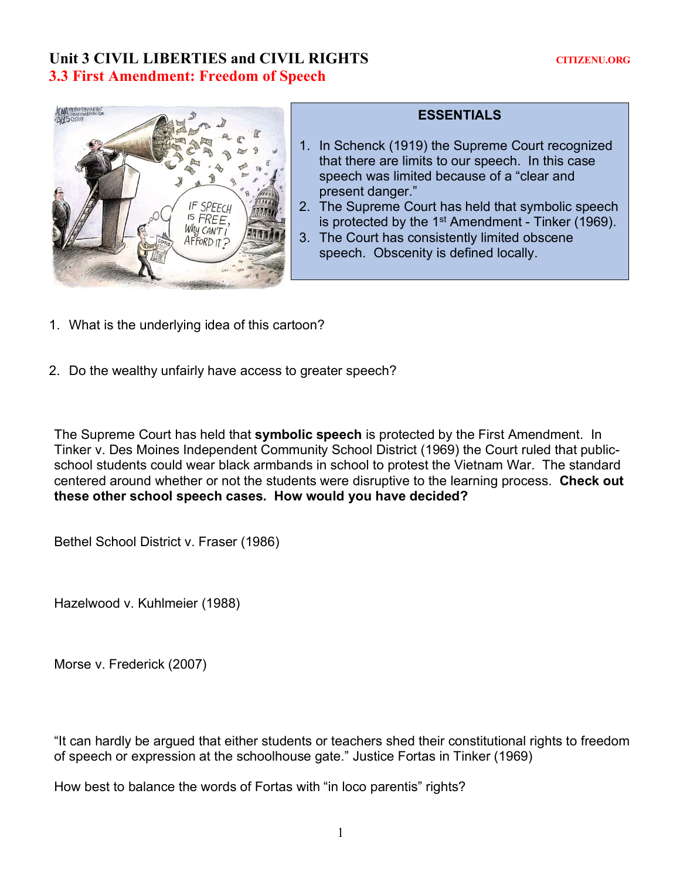# Unit 3 CIVIL LIBERTIES and CIVIL RIGHTS **CITIZENU.ORG 3.3 First Amendment: Freedom of Speech**



# **ESSENTIALS**

- 1. In Schenck (1919) the Supreme Court recognized that there are limits to our speech. In this case speech was limited because of a "clear and present danger."
- 2. The Supreme Court has held that symbolic speech is protected by the  $1<sup>st</sup>$  Amendment - Tinker (1969).
- 3. The Court has consistently limited obscene speech. Obscenity is defined locally.
- 1. What is the underlying idea of this cartoon?
- 2. Do the wealthy unfairly have access to greater speech?

The Supreme Court has held that **symbolic speech** is protected by the First Amendment. In Tinker v. Des Moines Independent Community School District (1969) the Court ruled that publicschool students could wear black armbands in school to protest the Vietnam War. The standard centered around whether or not the students were disruptive to the learning process. **Check out these other school speech cases. How would you have decided?**

Bethel School District v. Fraser (1986)

Hazelwood v. Kuhlmeier (1988)

Morse v. Frederick (2007)

"It can hardly be argued that either students or teachers shed their constitutional rights to freedom of speech or expression at the schoolhouse gate." Justice Fortas in Tinker (1969)

How best to balance the words of Fortas with "in loco parentis" rights?